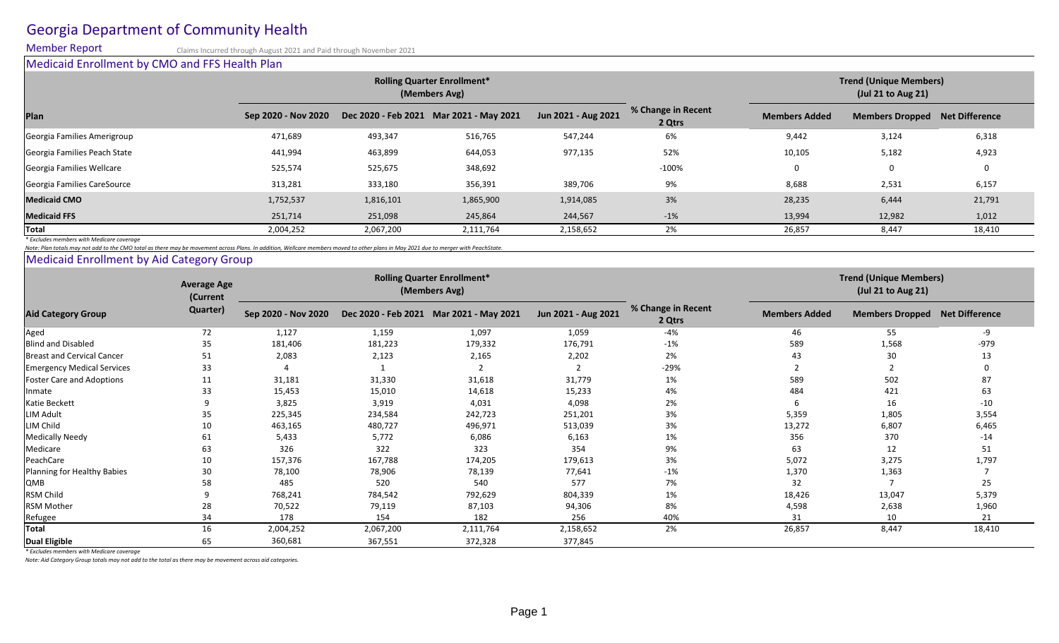# Georgia Department of Community Health

Member Report Claims Incurred through August 2021 and Paid through November 2021

Medicaid Enrollment by CMO and FFS Health Plan **Plan Sep 2020 - Nov 2020 Dec 2020 - Feb 2021 Mar 2021 - May 2021 Jun 2021 - Aug 2021 % Change in Recent Members Added Members Dropped Net Difference** Georgia Families Amerigroup 1992 1992 12,689 493,347 516,765 547,244 5547,244 5471,689 547,244 5471,689 547,244 |Georgia Families Peach State | 1,994 441,994 463,899 644,053 52% 52% 10,105 5,182 5,182 4,923 525,574 525,675 348,692 -100% 0 0 0 Georgia Families CareSource 20 2.531 313,281 333,180 356,391 389,706 9% 9% 8,688 3.531 389,706 5.157 **Medicaid CMO** 1,752,537 1,816,101 1,865,900 1,914,085 3% 28,235 6,444 21,791 **Medicaid FFS** 251,714 251,098 245,864 244,567 -1% 13,994 12,982 1,012 **Total** 2,004,252 2,067,200 2,111,764 2,158,652 2% 26,857 8,447 18,410 **Rolling Quarter Enrollment\* (Members Avg) Trend (Unique Members) (Jul 21 to Aug 21)** Georgia Families Wellcare

*\* Excludes members with Medicare coverage*

*Note: Plan totals may not add to the CMO total as there may be movement across Plans. In addition, Wellcare members moved to other plans in May 2021 due to merger with PeachState.*

Medicaid Enrollment by Aid Category Group

| <b>Aid Category Group</b>         | <b>Average Age</b><br>(Current<br>Quarter) | <b>Rolling Quarter Enrollment*</b><br>(Members Avg) |           |                                         |                     |                              | <b>Trend (Unique Members)</b><br>(Jul 21 to Aug 21) |                        |                |
|-----------------------------------|--------------------------------------------|-----------------------------------------------------|-----------|-----------------------------------------|---------------------|------------------------------|-----------------------------------------------------|------------------------|----------------|
|                                   |                                            | Sep 2020 - Nov 2020                                 |           | Dec 2020 - Feb 2021 Mar 2021 - May 2021 | Jun 2021 - Aug 2021 | % Change in Recent<br>2 Qtrs | <b>Members Added</b>                                | <b>Members Dropped</b> | Net Difference |
| Aged                              | 72                                         | 1,127                                               | 1,159     | 1,097                                   | 1,059               | $-4%$                        | 46                                                  | 55                     | -9             |
| <b>Blind and Disabled</b>         | 35                                         | 181,406                                             | 181,223   | 179,332                                 | 176,791             | $-1%$                        | 589                                                 | 1,568                  | $-979$         |
| Breast and Cervical Cancer        | 51                                         | 2,083                                               | 2,123     | 2,165                                   | 2,202               | 2%                           | 43                                                  | 30                     | 13             |
| <b>Emergency Medical Services</b> | 33                                         |                                                     |           |                                         |                     | $-29%$                       |                                                     |                        |                |
| <b>Foster Care and Adoptions</b>  | 11                                         | 31,181                                              | 31,330    | 31,618                                  | 31,779              | 1%                           | 589                                                 | 502                    |                |
| Inmate                            | 33                                         | 15,453                                              | 15,010    | 14,618                                  | 15,233              | 4%                           | 484                                                 | 421                    | 63             |
| Katie Beckett                     |                                            | 3,825                                               | 3,919     | 4,031                                   | 4,098               | 2%                           | 6                                                   | 16                     | $-10$          |
| <b>LIM Adult</b>                  | 35                                         | 225,345                                             | 234,584   | 242,723                                 | 251,201             | 3%                           | 5,359                                               | 1,805                  | 3,554          |
| LIM Child                         | 10                                         | 463,165                                             | 480,727   | 496,971                                 | 513,039             | 3%                           | 13,272                                              | 6,807                  | 6,465          |
| <b>Medically Needy</b>            | 61                                         | 5,433                                               | 5,772     | 6,086                                   | 6,163               | 1%                           | 356                                                 | 370                    | $-14$          |
| Medicare                          | 63                                         | 326                                                 | 322       | 323                                     | 354                 | 9%                           | 63                                                  | 12                     | 51             |
| PeachCare                         | 10                                         | 157,376                                             | 167,788   | 174,205                                 | 179,613             | 3%                           | 5,072                                               | 3,275                  | 1,797          |
| Planning for Healthy Babies       | 30                                         | 78,100                                              | 78,906    | 78,139                                  | 77,641              | $-1%$                        | 1,370                                               | 1,363                  |                |
| QMB                               | 58                                         | 485                                                 | 520       | 540                                     | 577                 | 7%                           | 32                                                  |                        | 25             |
| <b>RSM Child</b>                  |                                            | 768,241                                             | 784,542   | 792,629                                 | 804,339             | 1%                           | 18,426                                              | 13,047                 | 5,379          |
| <b>RSM Mother</b>                 | 28                                         | 70,522                                              | 79,119    | 87,103                                  | 94,306              | 8%                           | 4,598                                               | 2,638                  | 1,960          |
| Refugee                           | 34                                         | 178                                                 | 154       | 182                                     | 256                 | 40%                          | 31                                                  | 10                     | 21             |
| Total                             | 16                                         | 2,004,252                                           | 2,067,200 | 2,111,764                               | 2,158,652           | 2%                           | 26,857                                              | 8,447                  | 18,410         |
| <b>Dual Eligible</b>              | 65                                         | 360,681                                             | 367,551   | 372,328                                 | 377,845             |                              |                                                     |                        |                |

*\* Excludes members with Medicare coverage*

*Note: Aid Category Group totals may not add to the total as there may be movement across aid categories.*